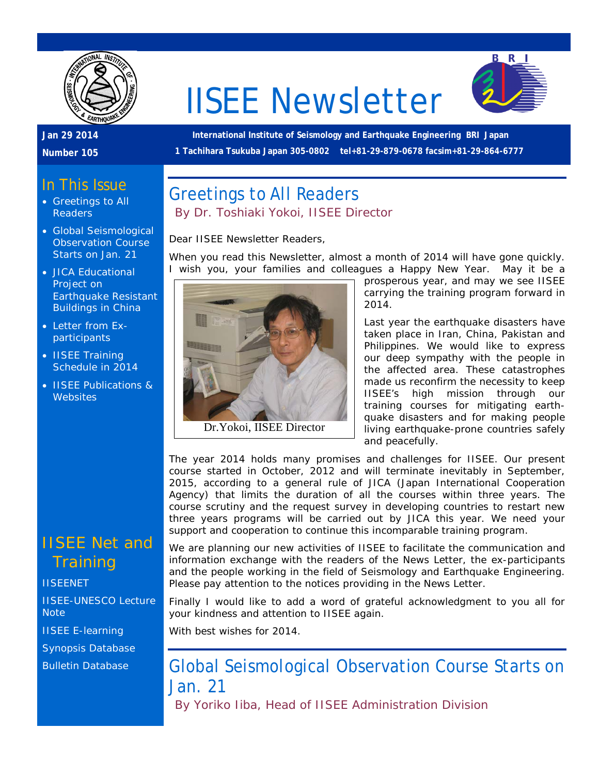

# IISEE Newsletter



### **Jan 29 2014**

**Number 105**

**International Institute of Seismology and Earthquake Engineering BRI Japan 1 Tachihara Tsukuba Japan 305-0802 tel+81-29-879-0678 facsim+81-29-864-6777**

When you read this Newsletter, almost a month of 2014 will have gone quickly.

### In This Issue

- Greetings to All Readers
- Global Seismological Observation Course Starts on Jan. 21
- JICA Educational Project on Earthquake Resistant Buildings in China
- Letter from Exparticipants
- IISEE Training Schedule in 2014
- IISEE Publications & **Websites**

# IISEE Net and **Training**

#### **[IISEENET](http://iisee.kenken.go.jp/net/)**

[IISEE-UNESCO Lecture](http://iisee/lna/)  **[Note](http://iisee/lna/)** [IISEE E-learning](http://iisee/el/) [Synopsis Database](http://iisee/syndb/) [Bulletin Database](http://iisee/bltndb/)



Greetings to All Readers

Dear IISEE Newsletter Readers,

*By Dr. Toshiaki Yokoi, IISEE Director*

prosperous year, and may we see IISEE carrying the training program forward in 2014.

Last year the earthquake disasters have taken place in Iran, China, Pakistan and Philippines. We would like to express our deep sympathy with the people in the affected area. These catastrophes made us reconfirm the necessity to keep IISEE's high mission through our training courses for mitigating earthquake disasters and for making people living earthquake-prone countries safely and peacefully.

The year 2014 holds many promises and challenges for IISEE. Our present course started in October, 2012 and will terminate inevitably in September, 2015, according to a general rule of JICA (Japan International Cooperation Agency) that limits the duration of all the courses within three years. The course scrutiny and the request survey in developing countries to restart new three years programs will be carried out by JICA this year. We need your support and cooperation to continue this incomparable training program.

We are planning our new activities of IISEE to facilitate the communication and information exchange with the readers of the News Letter, the ex-participants and the people working in the field of Seismology and Earthquake Engineering. Please pay attention to the notices providing in the News Letter.

Finally I would like to add a word of grateful acknowledgment to you all for your kindness and attention to IISEE again.

With best wishes for 2014.

# Global Seismological Observation Course Starts on Jan. 21

*By Yoriko Iiba, Head of IISEE Administration Division*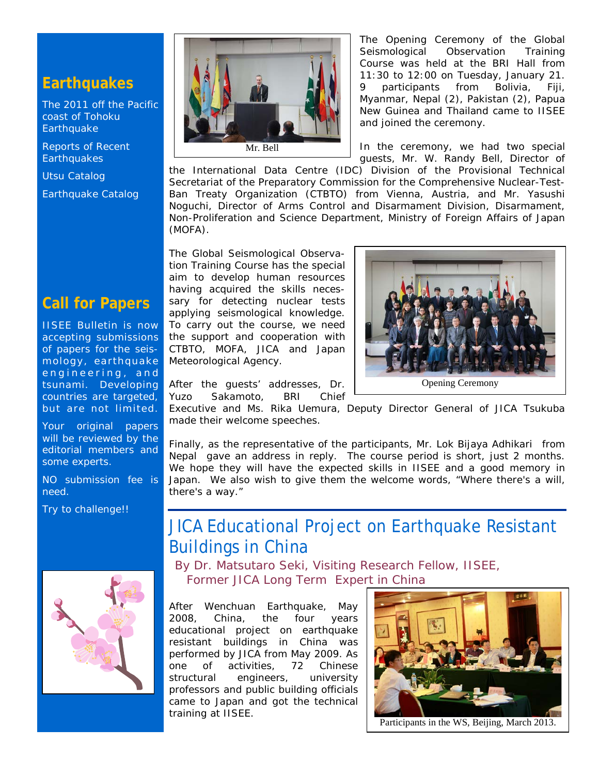### **Earthquakes**

[The 2011 off the Pacific](http://iisee/special2/20110311tohoku.htm)  [coast of Tohoku](http://iisee/special2/20110311tohoku.htm)  **[Earthquake](http://iisee/special2/20110311tohoku.htm)** 

[Reports of Recent](http://iisee/quakes.htm)  **[Earthquakes](http://iisee/quakes.htm)** 

[Utsu Catalog](http://iisee/utsu/index_eng.html)

[Earthquake Catalog](http://iisee/eqcat/Top_page_en.htm)

### **Call for Papers**

IISEE Bulletin is now accepting submissions of papers for the seismology, earthquake engineering, and tsunami. Developing countries are targeted, but are not limited.

Your original papers will be reviewed by the editorial members and some experts.

NO submission fee is need.

Try to challenge!!





The Opening Ceremony of the Global Seismological Observation Training Course was held at the BRI Hall from 11:30 to 12:00 on Tuesday, January 21. 9 participants from Bolivia, Fiji, Myanmar, Nepal (2), Pakistan (2), Papua New Guinea and Thailand came to IISEE and joined the ceremony.

In the ceremony, we had two special guests, Mr. W. Randy Bell, Director of

the International Data Centre (IDC) Division of the Provisional Technical Secretariat of the Preparatory Commission for the Comprehensive Nuclear-Test-Ban Treaty Organization (CTBTO) from Vienna, Austria, and Mr. Yasushi Noguchi, Director of Arms Control and Disarmament Division, Disarmament, Non-Proliferation and Science Department, Ministry of Foreign Affairs of Japan (MOFA).

The Global Seismological Observation Training Course has the special aim to develop human resources having acquired the skills necessary for detecting nuclear tests applying seismological knowledge. To carry out the course, we need the support and cooperation with CTBTO, MOFA, JICA and Japan Meteorological Agency.



After the guests' addresses, Dr. Yuzo Sakamoto, BRI Chief

Executive and Ms. Rika Uemura, Deputy Director General of JICA Tsukuba made their welcome speeches.

Finally, as the representative of the participants, Mr. Lok Bijaya Adhikari from Nepal gave an address in reply. The course period is short, just 2 months. We hope they will have the expected skills in IISEE and a good memory in Japan. We also wish to give them the welcome words, "Where there's a will, there's a way."

# JICA Educational Project on Earthquake Resistant Buildings in China

*By Dr. Matsutaro Seki, Visiting Research Fellow, IISEE, Former JICA Long Term Expert in China*

After Wenchuan Earthquake, May 2008, China, the four years educational project on earthquake resistant buildings in China was performed by JICA from May 2009. As one of activities, 72 Chinese structural engineers, university professors and public building officials came to Japan and got the technical training at IISEE.



Participants in the WS, Beijing, March 2013.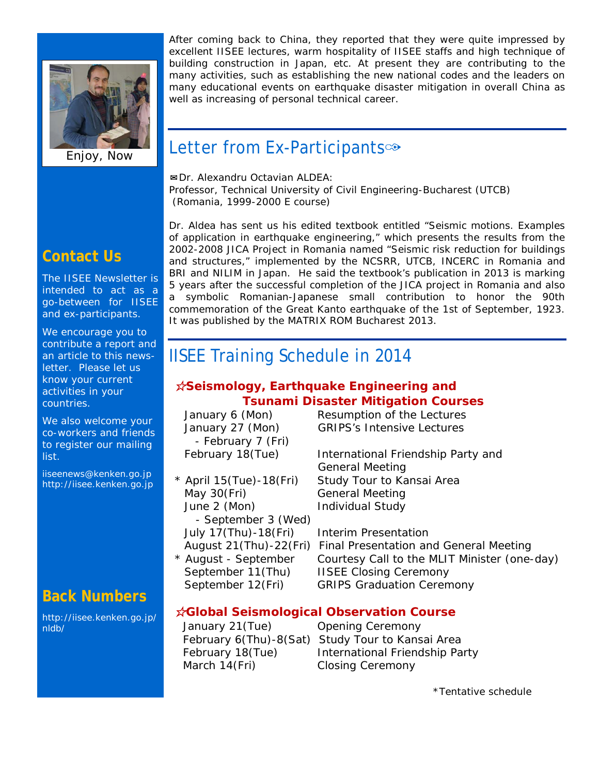

Enjoy, Now

After coming back to China, they reported that they were quite impressed by excellent IISEE lectures, warm hospitality of IISEE staffs and high technique of building construction in Japan, etc. At present they are contributing to the many activities, such as establishing the new national codes and the leaders on many educational events on earthquake disaster mitigation in overall China as well as increasing of personal technical career.

# Letter from Ex-Participants<sup>®</sup>

✉Dr. Alexandru Octavian ALDEA: Professor, Technical University of Civil Engineering-Bucharest (UTCB) (Romania, 1999-2000 E course)

### **Contact Us**

The IISEE Newsletter is intended to act as a go-between for IISEE and ex-participants.

We encourage you to contribute a report and an article to this newsletter. Please let us know your current activities in your countries.

We also welcome your co-workers and friends to register our mailing list.

iiseenews@kenken.go.jp [http://iisee.kenken.go.jp](http://iisee.kenken.go.jp/)

### **Back Numbers**

[http://iisee.kenken.go.jp/](http://iisee.kenken.go.jp/nldb/) [nldb/](http://iisee.kenken.go.jp/nldb/)

Dr. Aldea has sent us his edited textbook entitled "Seismic motions. Examples of application in earthquake engineering," which presents the results from the 2002-2008 JICA Project in Romania named "Seismic risk reduction for buildings and structures," implemented by the NCSRR, UTCB, INCERC in Romania and BRI and NILIM in Japan. He said the textbook's publication in 2013 is marking 5 years after the successful completion of the JICA project in Romania and also a symbolic Romanian-Japanese small contribution to honor the 90th commemoration of the Great Kanto earthquake of the 1st of September, 1923. It was published by the MATRIX ROM Bucharest 2013.

# IISEE Training Schedule in 2014

### ☆*Seismology, Earthquake Engineering and Tsunami Disaster Mitigation Courses*

| January 6 (Mon)           | Resumption of the Le         |
|---------------------------|------------------------------|
| January 27 (Mon)          | <b>GRIPS's Intensive Le</b>  |
| - February 7 (Fri)        |                              |
| February 18(Tue)          | <b>International Friends</b> |
|                           | <b>General Meeting</b>       |
| $*$ April 15(Tue)-18(Fri) | Study Tour to Kansa          |
| May 30(Fri)               | <b>General Meeting</b>       |
| June 2 (Mon)              | <b>Individual Study</b>      |
| - September 3 (Wed)       |                              |
| July 17(Thu)-18(Fri)      | <b>Interim Presentation</b>  |
| August 21(Thu)-22(Fri)    | Final Presentation ar        |
| * August - September      | Courtesy Call to the         |
| September 11(Thu)         | <b>IISEE Closing Cerem</b>   |
| September 12(Fri)         | <b>GRIPS Graduation Co</b>   |
|                           |                              |

he Lectures e Lectures

endship Party and ansai Area

on and General Meeting the MLIT Minister (one-day) eremony on Ceremony

### ☆*Global Seismological Observation Course*

March 14(Fri) Closing Ceremony

January 21(Tue) Opening Ceremony February 6(Thu)-8(Sat) Study Tour to Kansai Area February 18(Tue) lnternational Friendship Party

\*Tentative schedule